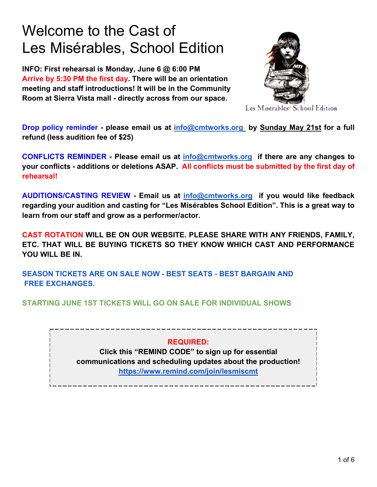## Welcome to the Cast of Les Misérables, School Edition

**INFO: First rehearsal is Monday, June 6 @ 6:00 PM Arrive by 5:30 PM the first day. There will be an orientation meeting and staff introductions! It will be in the Community Room at Sierra Vista mall - directly across from our space.** 



Les Misérables<sup>®</sup> School Edition

**Drop policy reminder - please email us at [info@cmtworks.org](mailto:info@cmtworks.org) by Sunday May 21st for a full refund (less audition fee of \$25)**

**CONFLICTS REMINDER - Please email us at [info@cmtworks.org](mailto:info@cmtworks.org) if there are any changes to your conflicts - additions or deletions ASAP. All conflicts must be submitted by the first day of rehearsal!** 

**AUDITIONS/CASTING REVIEW - Email us at [info@cmtworks.org](mailto:info@cmtworks.org) if you would like feedback regarding your audition and casting for "Les Misérables School Edition". This is a great way to learn from our staff and grow as a performer/actor.**

**CAST ROTATION WILL BE ON OUR WEBSITE. PLEASE SHARE WITH ANY FRIENDS, FAMILY, ETC. THAT WILL BE BUYING TICKETS SO THEY KNOW WHICH CAST AND PERFORMANCE YOU WILL BE IN.**

**SEASON TICKETS ARE ON SALE NOW - BEST SEATS - BEST BARGAIN AND FREE EXCHANGES.**

**STARTING JUNE 1ST TICKETS WILL GO ON SALE FOR INDIVIDUAL SHOWS**

## **REQUIRED:**

 **communications and scheduling updates about the production! Click this "REMIND CODE" to sign up for essential <https://www.remind.com/join/lesmiscmt>**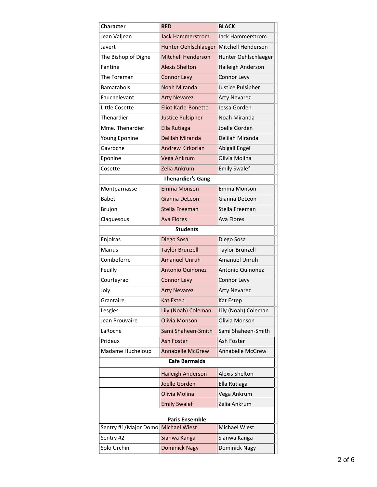| <b>Character</b>         | <b>RED</b>                | <b>BLACK</b>            |  |  |
|--------------------------|---------------------------|-------------------------|--|--|
| Jean Valjean             | Jack Hammerstrom          | <b>Jack Hammerstrom</b> |  |  |
| Javert                   | Hunter Oehlschlaeger      | Mitchell Henderson      |  |  |
| The Bishop of Digne      | <b>Mitchell Henderson</b> | Hunter Oehlschlaeger    |  |  |
| Fantine                  | <b>Alexis Shelton</b>     | Haileigh Anderson       |  |  |
| The Foreman              | <b>Connor Levy</b>        | Connor Levy             |  |  |
| Bamatabois               | Noah Miranda              | Justice Pulsipher       |  |  |
| Fauchelevant             | <b>Arty Nevarez</b>       | <b>Arty Nevarez</b>     |  |  |
| Little Cosette           | Eliot Karle-Bonetto       | Jessa Gorden            |  |  |
| Thenardier               | <b>Justice Pulsipher</b>  | Noah Miranda            |  |  |
| Mme. Thenardier          | Ella Rutiaga              | Joelle Gorden           |  |  |
| Young Eponine            | Delilah Miranda           | Delilah Miranda         |  |  |
| Gavroche                 | <b>Andrew Kirkorian</b>   | Abigail Engel           |  |  |
| Eponine                  | Vega Ankrum               | Olivia Molina           |  |  |
| Cosette                  | Zelia Ankrum              | <b>Emily Swalef</b>     |  |  |
| <b>Thenardier's Gang</b> |                           |                         |  |  |
| Montparnasse             | Emma Monson               | Emma Monson             |  |  |
| <b>Babet</b>             | Gianna DeLeon             | Gianna DeLeon           |  |  |
| <b>Brujon</b>            | Stella Freeman            | Stella Freeman          |  |  |
| Claquesous               | <b>Ava Flores</b>         | <b>Ava Flores</b>       |  |  |
|                          | <b>Students</b>           |                         |  |  |
| Enjolras                 | Diego Sosa                | Diego Sosa              |  |  |
| <b>Marius</b>            | <b>Taylor Brunzell</b>    | <b>Taylor Brunzell</b>  |  |  |
| Combeferre               | <b>Amanuel Unruh</b>      | <b>Amanuel Unruh</b>    |  |  |
| Feuilly                  | <b>Antonio Quinonez</b>   | Antonio Quinonez        |  |  |
| Courfeyrac               | <b>Connor Levy</b>        | Connor Levy             |  |  |
| Joly                     | <b>Arty Nevarez</b>       | <b>Arty Nevarez</b>     |  |  |
| Grantaire                | <b>Kat Estep</b>          | Kat Estep               |  |  |
| Lesgles                  | Lily (Noah) Coleman       | Lily (Noah) Coleman     |  |  |
| Jean Prouvaire           | Olivia Monson             | Olivia Monson           |  |  |
| LaRoche                  | Sami Shaheen-Smith        | Sami Shaheen-Smith      |  |  |
| Prideux                  | Ash Foster                | Ash Foster              |  |  |
| Madame Hucheloup         | <b>Annabelle McGrew</b>   | Annabelle McGrew        |  |  |
| <b>Cafe Barmaids</b>     |                           |                         |  |  |
|                          | Haileigh Anderson         | <b>Alexis Shelton</b>   |  |  |
|                          | Joelle Gorden             | Ella Rutiaga            |  |  |
|                          | Olivia Molina             | Vega Ankrum             |  |  |
|                          | <b>Emily Swalef</b>       | Zelia Ankrum            |  |  |
| <b>Paris Ensemble</b>    |                           |                         |  |  |
| Sentry #1/Major Domo     | <b>Michael Wiest</b>      | Michael Wiest           |  |  |
| Sentry #2                | Sianwa Kanga              | Sianwa Kanga            |  |  |
| Solo Urchin              | <b>Dominick Nagy</b>      | Dominick Nagy           |  |  |
|                          |                           |                         |  |  |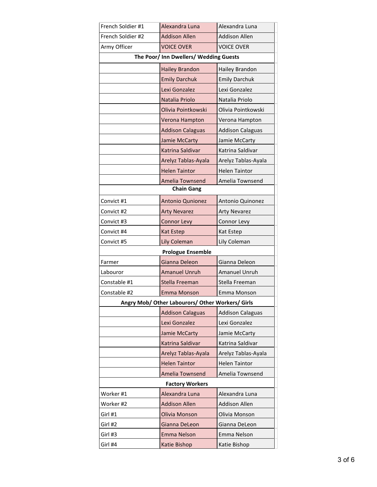| French Soldier #1                                | Alexandra Luna          | Alexandra Luna          |  |  |
|--------------------------------------------------|-------------------------|-------------------------|--|--|
| French Soldier #2                                | <b>Addison Allen</b>    | <b>Addison Allen</b>    |  |  |
| Army Officer                                     | <b>VOICE OVER</b>       | <b>VOICE OVER</b>       |  |  |
| The Poor/ Inn Dwellers/ Wedding Guests           |                         |                         |  |  |
|                                                  | <b>Hailey Brandon</b>   | Hailey Brandon          |  |  |
|                                                  | <b>Emily Darchuk</b>    | <b>Emily Darchuk</b>    |  |  |
|                                                  | Lexi Gonzalez           | Lexi Gonzalez           |  |  |
|                                                  | Natalia Priolo          | Natalia Priolo          |  |  |
|                                                  | Olivia Pointkowski      | Olivia Pointkowski      |  |  |
|                                                  | Verona Hampton          | Verona Hampton          |  |  |
|                                                  | <b>Addison Calaguas</b> | <b>Addison Calaguas</b> |  |  |
|                                                  | Jamie McCarty           | Jamie McCarty           |  |  |
|                                                  | Katrina Saldivar        | Katrina Saldivar        |  |  |
|                                                  | Arelyz Tablas-Ayala     | Arelyz Tablas-Ayala     |  |  |
|                                                  | <b>Helen Taintor</b>    | <b>Helen Taintor</b>    |  |  |
|                                                  | Amelia Townsend         | Amelia Townsend         |  |  |
| <b>Chain Gang</b>                                |                         |                         |  |  |
| Convict #1                                       | Antonio Qunionez        | Antonio Quinonez        |  |  |
| Convict #2                                       | <b>Arty Nevarez</b>     | <b>Arty Nevarez</b>     |  |  |
| Convict #3                                       | <b>Connor Levy</b>      | Connor Levy             |  |  |
| Convict #4                                       | Kat Estep               | Kat Estep               |  |  |
| Convict #5                                       | Lily Coleman            | Lily Coleman            |  |  |
| <b>Prologue Ensemble</b>                         |                         |                         |  |  |
| Farmer                                           | Gianna Deleon           | Gianna Deleon           |  |  |
| Labouror                                         | <b>Amanuel Unruh</b>    | <b>Amanuel Unruh</b>    |  |  |
| Constable #1                                     | Stella Freeman          | Stella Freeman          |  |  |
| Constable #2                                     | Emma Monson             | Emma Monson             |  |  |
| Angry Mob/ Other Labourors/ Other Workers/ Girls |                         |                         |  |  |
|                                                  | <b>Addison Calaguas</b> | <b>Addison Calaguas</b> |  |  |
|                                                  | Lexi Gonzalez           | Lexi Gonzalez           |  |  |
|                                                  | Jamie McCarty           | Jamie McCarty           |  |  |
|                                                  | Katrina Saldivar        | Katrina Saldivar        |  |  |
|                                                  | Arelyz Tablas-Ayala     | Arelyz Tablas-Ayala     |  |  |
|                                                  | <b>Helen Taintor</b>    | <b>Helen Taintor</b>    |  |  |
|                                                  | Amelia Townsend         | Amelia Townsend         |  |  |
| <b>Factory Workers</b>                           |                         |                         |  |  |
| Worker #1                                        | Alexandra Luna          | Alexandra Luna          |  |  |
| Worker #2                                        | <b>Addison Allen</b>    | <b>Addison Allen</b>    |  |  |
| Girl #1                                          | Olivia Monson           | Olivia Monson           |  |  |
| Girl #2                                          | Gianna DeLeon           | Gianna DeLeon           |  |  |
| Girl #3                                          | <b>Emma Nelson</b>      | Emma Nelson             |  |  |
| Girl #4                                          | Katie Bishop            | Katie Bishop            |  |  |